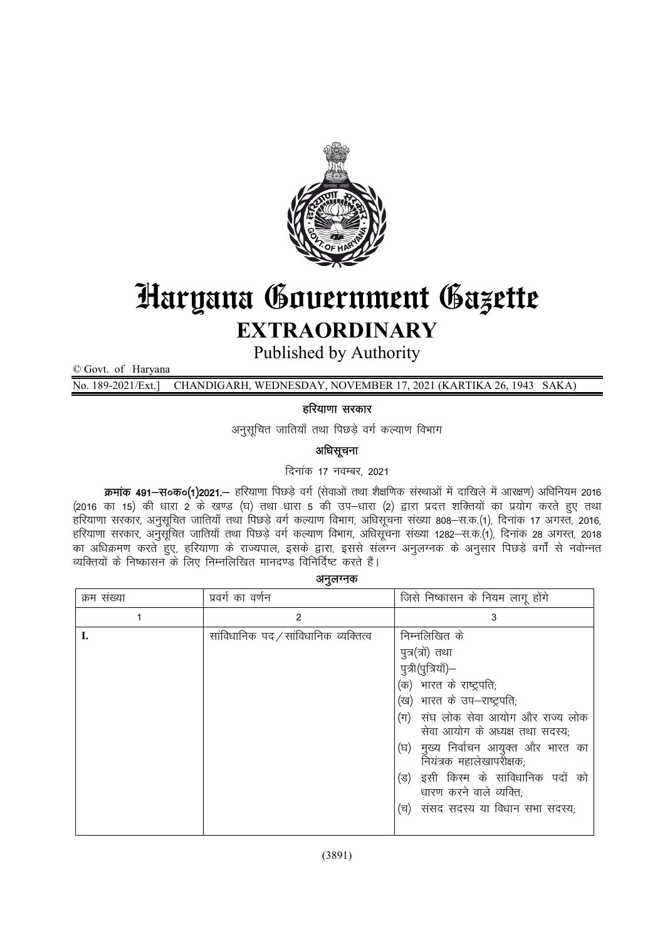

# Haryana Government Gazette EXTRAORDINARY

Published by Authority

© Govt. of Haryana

No. 189-2021/Ext.] CHANDIGARH, WEDNESDAY, NOVEMBER 17, 2021 (KARTIKA 26, 1943 SAKA)

## हरियाणा सरकार

अनुसूचित जातियाँ तथा पिछड़े वर्ग कल्याण विभाग

# अधिसूचना

दिनांक 17 नवम्बर, 2021

 $\vec{a}$ मांक 491-स०क०(1)2021.- हरियाणा पिछड़े वर्ग (सेवाओं तथा शैक्षणिक संस्थाओं में दाखिले में आरक्षण) अधिनियम 2016 (2016 का 15) की धारा 2 के खण्ड (घ) तथा धारा 5 की उप-धारा (2) द्वारा प्रदत्त शक्तियों का प्रयोग करते हुए तथा .<br>हरियाणा सरकार, अनुसूचित जातियाँ तथा पिछडे वर्ग कल्याण विभाग, अधिसूचना संख्या 808–स.क.(1), दिनांक 17 अगस्त, 2016, हरियाणा सरकार, अनुसूचित जातियाँ तथा पिछड़े वर्ग कल्याण विभाग, अधिसूचना संख्या 1282–स.क.(1), दिनांक 28 अगस्त, 2018 का अधिक्रमण करते हुए, हरियाणा के राज्यपाल, इसके द्वारा, इससे संलग्न अनुलग्नक के अनुसार पिछड़े वर्गों से नवोन्नत व्यक्तियों के निष्कासन के लिए निम्नलिखित मानदण्ड विनिर्दिष्ट करते हैं।

अनुलग्नक

| क्रम संख्या | प्रवर्ग का वर्णन                      | जिसे निष्कासन के नियम लागू होंगे                                      |  |
|-------------|---------------------------------------|-----------------------------------------------------------------------|--|
|             | 2                                     | 3                                                                     |  |
|             | सांविधानिक पद / सांविधानिक व्यक्तित्व | निम्नलिखित के                                                         |  |
|             |                                       | पुत्र(त्रों) तथा                                                      |  |
|             |                                       | पुत्री(पुत्रियाँ)—                                                    |  |
|             |                                       | (क)  भारत के राष्ट्रपति;                                              |  |
|             |                                       | (ख) भारत के उप-राष्ट्रपति;                                            |  |
|             |                                       | (ग) संघ लोक सेवा आयोग और राज्य लोक<br>सेवा आयोग के अध्यक्ष तथा सदस्य; |  |
|             |                                       | (घ) मुख्य निर्वाचन आयुक्त और भारत का<br>नियंत्रक महालेखापरीक्षक;      |  |
|             |                                       | (ड) इसी किस्म के सांविधानिक पदों को<br>धारण करने वाले व्यक्ति;        |  |
|             |                                       | (च)  संसद सदस्य या विधान सभा सदस्य,                                   |  |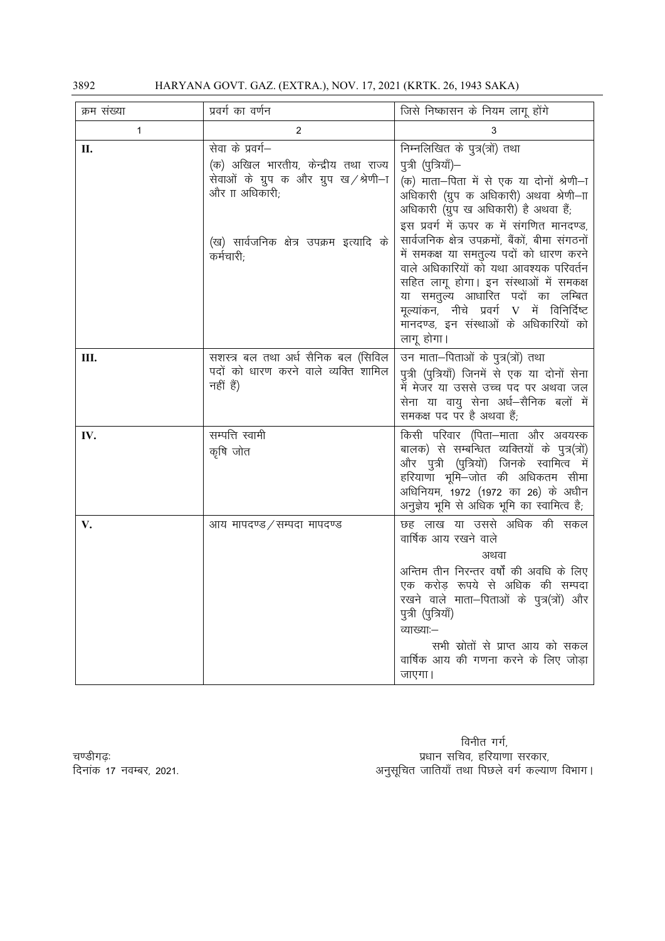HARYANA GOVT. GAZ. (EXTRA.), NOV. 17, 2021 (KRTK. 26, 1943 SAKA)

| क्रम संख्या | प्रवर्ग का वर्णन                                                                                                    | जिसे निष्कासन के नियम लागू होंगे                                                                                                                                                                                                                                                                                                                                    |
|-------------|---------------------------------------------------------------------------------------------------------------------|---------------------------------------------------------------------------------------------------------------------------------------------------------------------------------------------------------------------------------------------------------------------------------------------------------------------------------------------------------------------|
| 1           | $\overline{2}$                                                                                                      | 3                                                                                                                                                                                                                                                                                                                                                                   |
| П.          | सेवा के प्रवर्ग–<br>(क) अखिल भारतीय, केन्द्रीय तथा राज्य<br>सेवाओं के ग्रुप क और ग्रुप ख/श्रेणी–ा<br>और IT अधिकारी; | निम्नलिखित के पुत्र(त्रों) तथा<br>पुत्री (पुत्रियाँ)–<br>(क) माता—पिता में से एक या दोनों श्रेणी—ा<br>अधिकारी (ग्रुप क अधिकारी) अथवा श्रेणी—ाा<br>अधिकारी (ग्रुप ख अधिकारी) है अथवा हैं;                                                                                                                                                                            |
|             | (ख) सार्वजनिक क्षेत्र उपक्रम इत्यादि के<br>कर्मचारी;                                                                | इस प्रवर्ग में ऊपर क में संगणित मानदण्ड,<br>सार्वजनिक क्षेत्र उपक्रमों, बैंकों, बीमा संगठनों<br>में समकक्ष या समतुल्य पदों को धारण करने<br>वाले अधिकारियों को यथा आवश्यक परिवर्तन<br>सहित लागू होगा। इन संस्थाओं में समकक्ष<br>या समतुल्य आधारित पदों का लम्बित<br>मूल्यांकन, नीचे प्रवर्ग V में विनिर्दिष्ट<br>मानदण्ड, इन संस्थाओं के अधिकारियों को<br>लागू होगा। |
| Ш.          | सशस्त्र बल तथा अर्ध सैनिक बल (सिविल<br>पदों को धारण करने वाले व्यक्ति शामिल<br>नहीं हैं)                            | उन माता–पिताओं के पुत्र(त्रों) तथा<br>पुत्री (पुत्रियाँ) जिनमें से एक या दोनों सेना<br>में मेजर या उससे उच्च पद पर अथवा जल<br>सेना या वायु सेना अर्ध—सैनिक बलों में<br>समकक्ष पद पर है अथवा हैं;                                                                                                                                                                    |
| IV.         | सम्पत्ति स्वामी<br>कृषि जोत                                                                                         | किसी परिवार (पिता-माता और अवयस्क<br>बालक) से सम्बन्धित व्यक्तियों के पुत्र(त्रों)<br>और पुत्री (पुत्रियों) जिनके स्वामित्व में<br>हरियाणा भूमि–जोत की अधिकतम सीमा<br>अधिनियम, 1972 (1972 का 26) के अधीन<br>अनुज्ञेय भूमि से अधिक भूमि का स्वामित्व है;                                                                                                              |
| V.          | आय मापदण्ड ⁄ सम्पदा मापदण्ड                                                                                         | छह लाख या उससे अधिक की सकल<br>वार्षिक आय रखने वाले<br>अथवा<br>अन्तिम तीन निरन्तर वर्षों की अवधि के लिए<br>एक करोड़ रूपये से अधिक की सम्पदा<br>रखने वाले माता-पिताओं के पुत्र(त्रों) और<br>पुत्री (पुत्रियाँ)<br>व्याख्याः–<br>सभी स्रोतों से प्राप्त आय को सकल<br>वार्षिक आय की गणना करने के लिए जोड़ा<br>जाएगा।                                                    |

विनीत गर्ग, 

चण्डीगढ़ः दिनांक 17 नवम्बर, 2021.

3892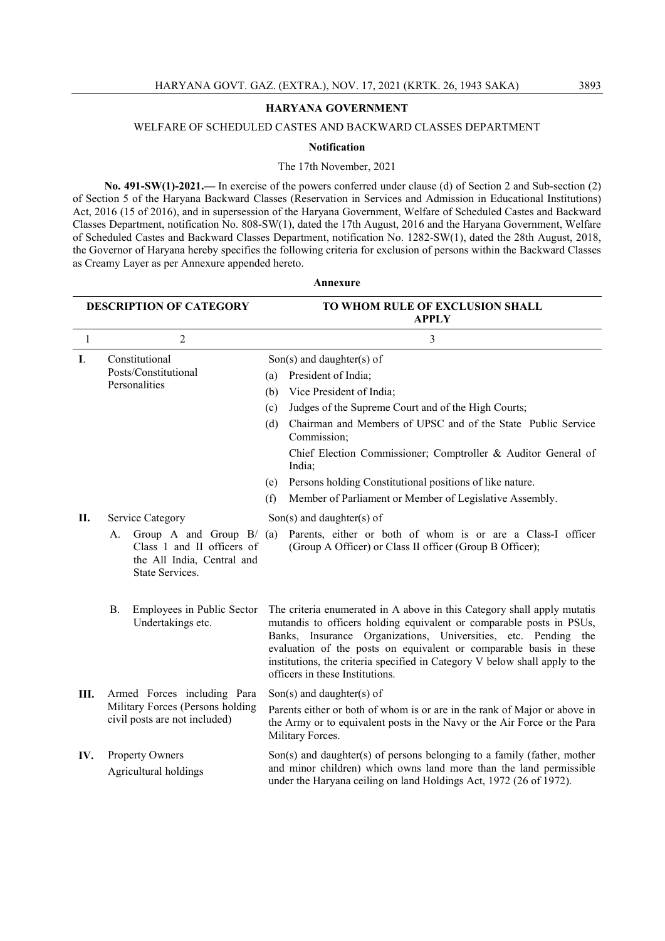## HARYANA GOVERNMENT

## WELFARE OF SCHEDULED CASTES AND BACKWARD CLASSES DEPARTMENT

#### Notification

### The 17th November, 2021

No. 491-SW(1)-2021.— In exercise of the powers conferred under clause (d) of Section 2 and Sub-section (2) of Section 5 of the Haryana Backward Classes (Reservation in Services and Admission in Educational Institutions) Act, 2016 (15 of 2016), and in supersession of the Haryana Government, Welfare of Scheduled Castes and Backward Classes Department, notification No. 808-SW(1), dated the 17th August, 2016 and the Haryana Government, Welfare of Scheduled Castes and Backward Classes Department, notification No. 1282-SW(1), dated the 28th August, 2018, the Governor of Haryana hereby specifies the following criteria for exclusion of persons within the Backward Classes as Creamy Layer as per Annexure appended hereto.

| <b>DESCRIPTION OF CATEGORY</b> |                                                                                                                                    | TO WHOM RULE OF EXCLUSION SHALL<br><b>APPLY</b>                                                                                                                                                                                                                                                                                                                                                           |  |
|--------------------------------|------------------------------------------------------------------------------------------------------------------------------------|-----------------------------------------------------------------------------------------------------------------------------------------------------------------------------------------------------------------------------------------------------------------------------------------------------------------------------------------------------------------------------------------------------------|--|
| 1                              | 2                                                                                                                                  | 3                                                                                                                                                                                                                                                                                                                                                                                                         |  |
| I.                             | Constitutional<br>Posts/Constitutional<br>Personalities                                                                            | $Son(s)$ and daughter(s) of<br>President of India;<br>(a)<br>Vice President of India;<br>(b)<br>Judges of the Supreme Court and of the High Courts;<br>(c)<br>Chairman and Members of UPSC and of the State Public Service<br>(d)<br>Commission;                                                                                                                                                          |  |
|                                |                                                                                                                                    | Chief Election Commissioner; Comptroller & Auditor General of<br>India;<br>Persons holding Constitutional positions of like nature.<br>(e)                                                                                                                                                                                                                                                                |  |
|                                |                                                                                                                                    | Member of Parliament or Member of Legislative Assembly.<br>(f)                                                                                                                                                                                                                                                                                                                                            |  |
| П.                             | Service Category<br>Group A and Group $B/(a)$<br>А.<br>Class 1 and II officers of<br>the All India, Central and<br>State Services. | $Son(s)$ and daughter(s) of<br>Parents, either or both of whom is or are a Class-I officer<br>(Group A Officer) or Class II officer (Group B Officer);                                                                                                                                                                                                                                                    |  |
|                                | <b>B.</b><br>Employees in Public Sector<br>Undertakings etc.                                                                       | The criteria enumerated in A above in this Category shall apply mutatis<br>mutandis to officers holding equivalent or comparable posts in PSUs,<br>Banks, Insurance Organizations, Universities, etc. Pending the<br>evaluation of the posts on equivalent or comparable basis in these<br>institutions, the criteria specified in Category V below shall apply to the<br>officers in these Institutions. |  |
| Ш.                             | Armed Forces including Para<br>Military Forces (Persons holding<br>civil posts are not included)                                   | $Son(s)$ and daughter(s) of<br>Parents either or both of whom is or are in the rank of Major or above in<br>the Army or to equivalent posts in the Navy or the Air Force or the Para<br>Military Forces.                                                                                                                                                                                                  |  |
| IV.                            | <b>Property Owners</b><br>Agricultural holdings                                                                                    | Son(s) and daughter(s) of persons belonging to a family (father, mother<br>and minor children) which owns land more than the land permissible<br>under the Haryana ceiling on land Holdings Act, 1972 (26 of 1972).                                                                                                                                                                                       |  |

#### Annexure